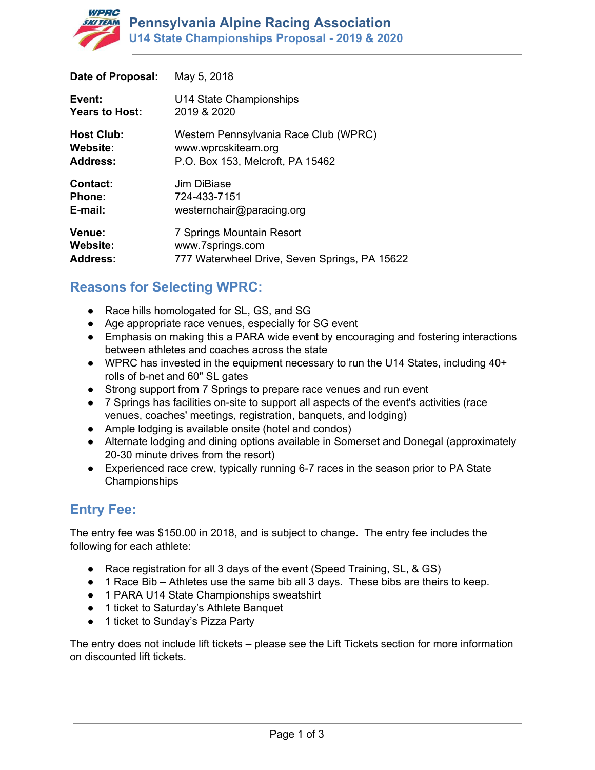

| Date of Proposal:     | May 5, 2018                                   |
|-----------------------|-----------------------------------------------|
| Event:                | U14 State Championships                       |
| <b>Years to Host:</b> | 2019 & 2020                                   |
| <b>Host Club:</b>     | Western Pennsylvania Race Club (WPRC)         |
| <b>Website:</b>       | www.wprcskiteam.org                           |
| <b>Address:</b>       | P.O. Box 153, Melcroft, PA 15462              |
| <b>Contact:</b>       | Jim DiBiase                                   |
| <b>Phone:</b>         | 724-433-7151                                  |
| E-mail:               | westernchair@paracing.org                     |
| Venue:                | 7 Springs Mountain Resort                     |
| Website:              | www.7springs.com                              |
| <b>Address:</b>       | 777 Waterwheel Drive, Seven Springs, PA 15622 |

# **Reasons for Selecting WPRC:**

- Race hills homologated for SL, GS, and SG
- Age appropriate race venues, especially for SG event
- Emphasis on making this a PARA wide event by encouraging and fostering interactions between athletes and coaches across the state
- WPRC has invested in the equipment necessary to run the U14 States, including 40+ rolls of b-net and 60" SL gates
- Strong support from 7 Springs to prepare race venues and run event
- 7 Springs has facilities on-site to support all aspects of the event's activities (race venues, coaches' meetings, registration, banquets, and lodging)
- Ample lodging is available onsite (hotel and condos)
- Alternate lodging and dining options available in Somerset and Donegal (approximately 20-30 minute drives from the resort)
- Experienced race crew, typically running 6-7 races in the season prior to PA State Championships

# **Entry Fee:**

The entry fee was \$150.00 in 2018, and is subject to change. The entry fee includes the following for each athlete:

- Race registration for all 3 days of the event (Speed Training, SL, & GS)
- 1 Race Bib Athletes use the same bib all 3 days. These bibs are theirs to keep.
- 1 PARA U14 State Championships sweatshirt
- 1 ticket to Saturday's Athlete Banquet
- 1 ticket to Sunday's Pizza Party

The entry does not include lift tickets – please see the Lift Tickets section for more information on discounted lift tickets.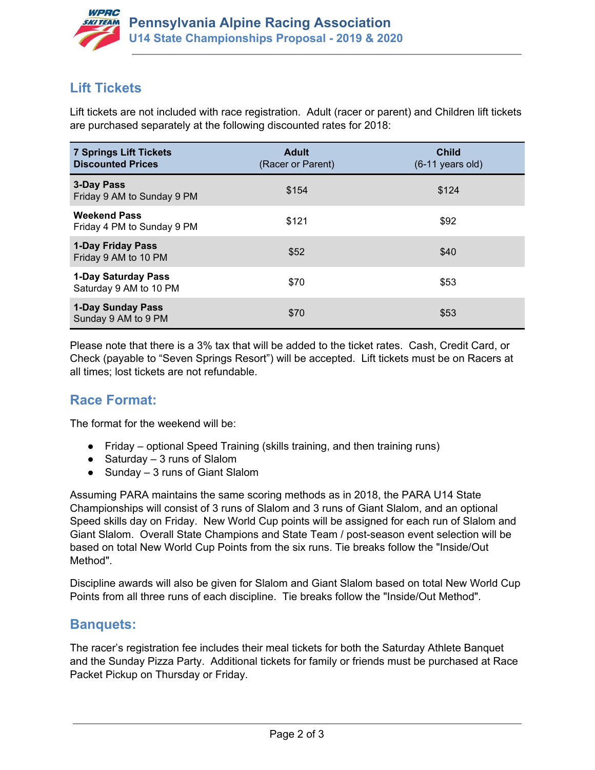

# **Lift Tickets**

Lift tickets are not included with race registration. Adult (racer or parent) and Children lift tickets are purchased separately at the following discounted rates for 2018:

| <b>7 Springs Lift Tickets</b><br><b>Discounted Prices</b> | <b>Adult</b><br>(Racer or Parent) | <b>Child</b><br>$(6-11$ years old) |
|-----------------------------------------------------------|-----------------------------------|------------------------------------|
| 3-Day Pass<br>Friday 9 AM to Sunday 9 PM                  | \$154                             | \$124                              |
| <b>Weekend Pass</b><br>Friday 4 PM to Sunday 9 PM         | \$121                             | \$92                               |
| <b>1-Day Friday Pass</b><br>Friday 9 AM to 10 PM          | \$52                              | \$40                               |
| 1-Day Saturday Pass<br>Saturday 9 AM to 10 PM             | \$70                              | \$53                               |
| <b>1-Day Sunday Pass</b><br>Sunday 9 AM to 9 PM           | \$70                              | \$53                               |

Please note that there is a 3% tax that will be added to the ticket rates. Cash, Credit Card, or Check (payable to "Seven Springs Resort") will be accepted. Lift tickets must be on Racers at all times; lost tickets are not refundable.

## **Race Format:**

The format for the weekend will be:

- Friday optional Speed Training (skills training, and then training runs)
- $\bullet$  Saturday 3 runs of Slalom
- $\bullet$  Sunday 3 runs of Giant Slalom

Assuming PARA maintains the same scoring methods as in 2018, the PARA U14 State Championships will consist of 3 runs of Slalom and 3 runs of Giant Slalom, and an optional Speed skills day on Friday. New World Cup points will be assigned for each run of Slalom and Giant Slalom. Overall State Champions and State Team / post-season event selection will be based on total New World Cup Points from the six runs. Tie breaks follow the "Inside/Out Method".

Discipline awards will also be given for Slalom and Giant Slalom based on total New World Cup Points from all three runs of each discipline. Tie breaks follow the "Inside/Out Method".

### **Banquets:**

The racer's registration fee includes their meal tickets for both the Saturday Athlete Banquet and the Sunday Pizza Party. Additional tickets for family or friends must be purchased at Race Packet Pickup on Thursday or Friday.